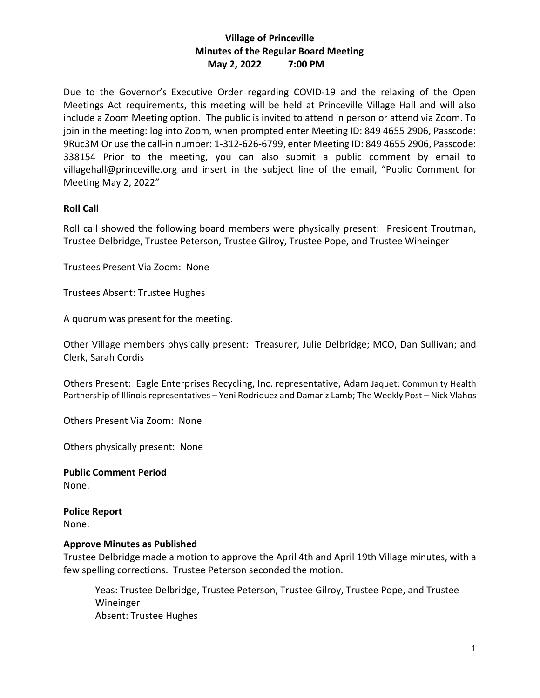# **Village of Princeville Minutes of the Regular Board Meeting May 2, 2022 7:00 PM**

Due to the Governor's Executive Order regarding COVID-19 and the relaxing of the Open Meetings Act requirements, this meeting will be held at Princeville Village Hall and will also include a Zoom Meeting option. The public is invited to attend in person or attend via Zoom. To join in the meeting: log into Zoom, when prompted enter Meeting ID: 849 4655 2906, Passcode: 9Ruc3M Or use the call-in number: 1-312-626-6799, enter Meeting ID: 849 4655 2906, Passcode: 338154 Prior to the meeting, you can also submit a public comment by email to villagehall@princeville.org and insert in the subject line of the email, "Public Comment for Meeting May 2, 2022"

#### **Roll Call**

Roll call showed the following board members were physically present: President Troutman, Trustee Delbridge, Trustee Peterson, Trustee Gilroy, Trustee Pope, and Trustee Wineinger

Trustees Present Via Zoom: None

Trustees Absent: Trustee Hughes

A quorum was present for the meeting.

Other Village members physically present: Treasurer, Julie Delbridge; MCO, Dan Sullivan; and Clerk, Sarah Cordis

Others Present: Eagle Enterprises Recycling, Inc. representative, Adam Jaquet; Community Health Partnership of Illinois representatives – Yeni Rodriquez and Damariz Lamb; The Weekly Post – Nick Vlahos

Others Present Via Zoom: None

Others physically present: None

**Public Comment Period** None.

**Police Report** None.

#### **Approve Minutes as Published**

Trustee Delbridge made a motion to approve the April 4th and April 19th Village minutes, with a few spelling corrections. Trustee Peterson seconded the motion.

Yeas: Trustee Delbridge, Trustee Peterson, Trustee Gilroy, Trustee Pope, and Trustee Wineinger Absent: Trustee Hughes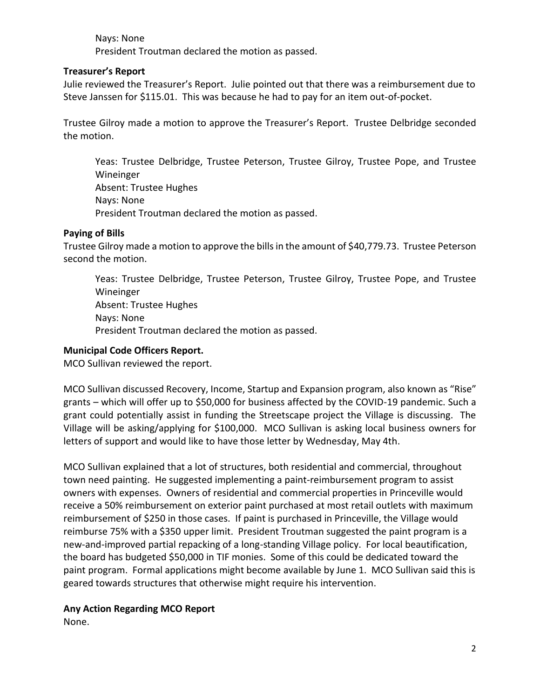# Nays: None President Troutman declared the motion as passed.

#### **Treasurer's Report**

Julie reviewed the Treasurer's Report. Julie pointed out that there was a reimbursement due to Steve Janssen for \$115.01. This was because he had to pay for an item out-of-pocket.

Trustee Gilroy made a motion to approve the Treasurer's Report. Trustee Delbridge seconded the motion.

Yeas: Trustee Delbridge, Trustee Peterson, Trustee Gilroy, Trustee Pope, and Trustee Wineinger Absent: Trustee Hughes Nays: None President Troutman declared the motion as passed.

## **Paying of Bills**

Trustee Gilroy made a motion to approve the bills in the amount of \$40,779.73. Trustee Peterson second the motion.

Yeas: Trustee Delbridge, Trustee Peterson, Trustee Gilroy, Trustee Pope, and Trustee Wineinger Absent: Trustee Hughes Nays: None President Troutman declared the motion as passed.

## **Municipal Code Officers Report.**

MCO Sullivan reviewed the report.

MCO Sullivan discussed Recovery, Income, Startup and Expansion program, also known as "Rise" grants – which will offer up to \$50,000 for business affected by the COVID-19 pandemic. Such a grant could potentially assist in funding the Streetscape project the Village is discussing. The Village will be asking/applying for \$100,000. MCO Sullivan is asking local business owners for letters of support and would like to have those letter by Wednesday, May 4th.

MCO Sullivan explained that a lot of structures, both residential and commercial, throughout town need painting. He suggested implementing a paint-reimbursement program to assist owners with expenses. Owners of residential and commercial properties in Princeville would receive a 50% reimbursement on exterior paint purchased at most retail outlets with maximum reimbursement of \$250 in those cases. If paint is purchased in Princeville, the Village would reimburse 75% with a \$350 upper limit. President Troutman suggested the paint program is a new-and-improved partial repacking of a long-standing Village policy. For local beautification, the board has budgeted \$50,000 in TIF monies. Some of this could be dedicated toward the paint program. Formal applications might become available by June 1. MCO Sullivan said this is geared towards structures that otherwise might require his intervention.

# **Any Action Regarding MCO Report**

None.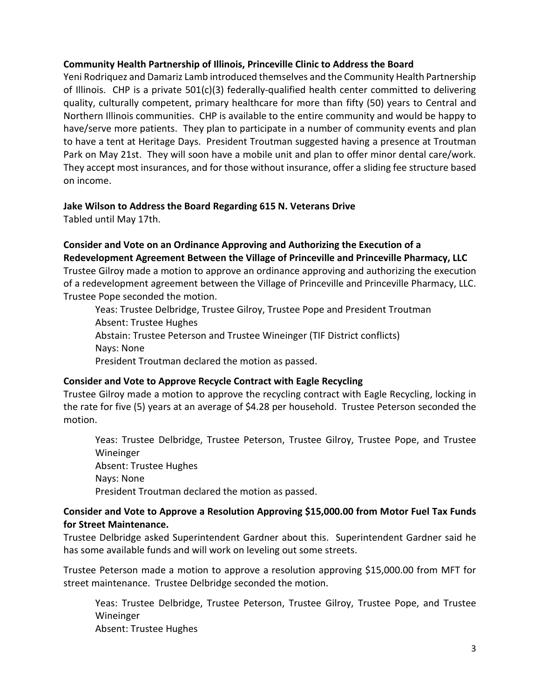## **Community Health Partnership of Illinois, Princeville Clinic to Address the Board**

Yeni Rodriquez and Damariz Lamb introduced themselves and the Community Health Partnership of Illinois. CHP is a private  $501(c)(3)$  federally-qualified health center committed to delivering quality, culturally competent, primary healthcare for more than fifty (50) years to Central and Northern Illinois communities. CHP is available to the entire community and would be happy to have/serve more patients. They plan to participate in a number of community events and plan to have a tent at Heritage Days. President Troutman suggested having a presence at Troutman Park on May 21st. They will soon have a mobile unit and plan to offer minor dental care/work. They accept most insurances, and for those without insurance, offer a sliding fee structure based on income.

## **Jake Wilson to Address the Board Regarding 615 N. Veterans Drive**

Tabled until May 17th.

#### **Consider and Vote on an Ordinance Approving and Authorizing the Execution of a Redevelopment Agreement Between the Village of Princeville and Princeville Pharmacy, LLC**

Trustee Gilroy made a motion to approve an ordinance approving and authorizing the execution of a redevelopment agreement between the Village of Princeville and Princeville Pharmacy, LLC. Trustee Pope seconded the motion.

Yeas: Trustee Delbridge, Trustee Gilroy, Trustee Pope and President Troutman Absent: Trustee Hughes Abstain: Trustee Peterson and Trustee Wineinger (TIF District conflicts) Nays: None President Troutman declared the motion as passed.

# **Consider and Vote to Approve Recycle Contract with Eagle Recycling**

Trustee Gilroy made a motion to approve the recycling contract with Eagle Recycling, locking in the rate for five (5) years at an average of \$4.28 per household. Trustee Peterson seconded the motion.

Yeas: Trustee Delbridge, Trustee Peterson, Trustee Gilroy, Trustee Pope, and Trustee Wineinger Absent: Trustee Hughes Nays: None President Troutman declared the motion as passed.

## **Consider and Vote to Approve a Resolution Approving \$15,000.00 from Motor Fuel Tax Funds for Street Maintenance.**

Trustee Delbridge asked Superintendent Gardner about this. Superintendent Gardner said he has some available funds and will work on leveling out some streets.

Trustee Peterson made a motion to approve a resolution approving \$15,000.00 from MFT for street maintenance. Trustee Delbridge seconded the motion.

Yeas: Trustee Delbridge, Trustee Peterson, Trustee Gilroy, Trustee Pope, and Trustee Wineinger Absent: Trustee Hughes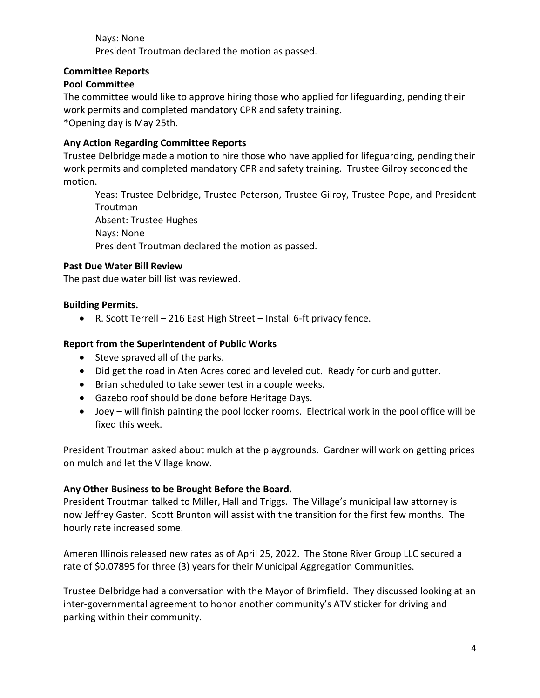Nays: None President Troutman declared the motion as passed.

## **Committee Reports**

## **Pool Committee**

The committee would like to approve hiring those who applied for lifeguarding, pending their work permits and completed mandatory CPR and safety training. \*Opening day is May 25th.

## **Any Action Regarding Committee Reports**

Trustee Delbridge made a motion to hire those who have applied for lifeguarding, pending their work permits and completed mandatory CPR and safety training. Trustee Gilroy seconded the motion.

Yeas: Trustee Delbridge, Trustee Peterson, Trustee Gilroy, Trustee Pope, and President Troutman Absent: Trustee Hughes Nays: None President Troutman declared the motion as passed.

## **Past Due Water Bill Review**

The past due water bill list was reviewed.

## **Building Permits.**

• R. Scott Terrell – 216 East High Street – Install 6-ft privacy fence.

## **Report from the Superintendent of Public Works**

- Steve sprayed all of the parks.
- Did get the road in Aten Acres cored and leveled out. Ready for curb and gutter.
- Brian scheduled to take sewer test in a couple weeks.
- Gazebo roof should be done before Heritage Days.
- Joey will finish painting the pool locker rooms. Electrical work in the pool office will be fixed this week.

President Troutman asked about mulch at the playgrounds. Gardner will work on getting prices on mulch and let the Village know.

#### **Any Other Business to be Brought Before the Board.**

President Troutman talked to Miller, Hall and Triggs. The Village's municipal law attorney is now Jeffrey Gaster. Scott Brunton will assist with the transition for the first few months. The hourly rate increased some.

Ameren Illinois released new rates as of April 25, 2022. The Stone River Group LLC secured a rate of \$0.07895 for three (3) years for their Municipal Aggregation Communities.

Trustee Delbridge had a conversation with the Mayor of Brimfield. They discussed looking at an inter-governmental agreement to honor another community's ATV sticker for driving and parking within their community.